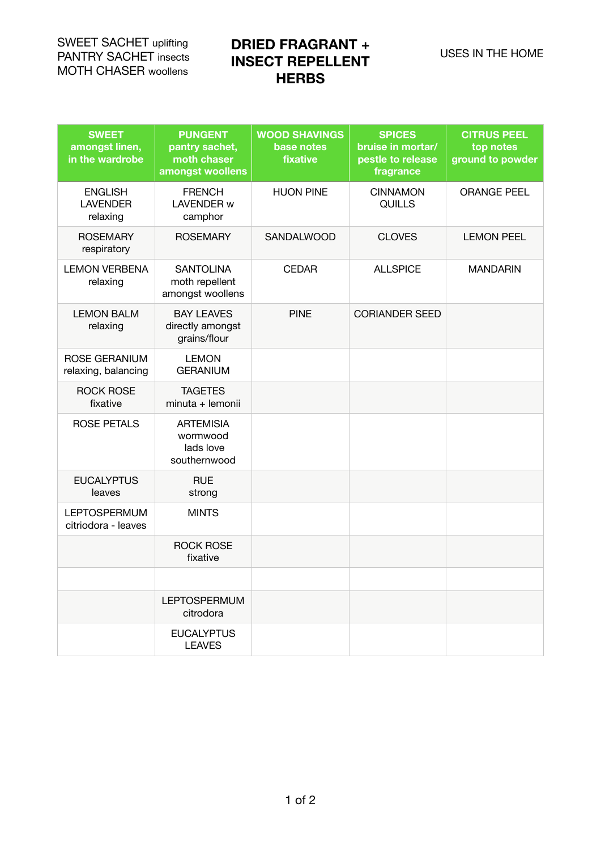SWEET SACHET uplifting PANTRY SACHET insects MOTH CHASER woollens

# **DRIED FRAGRANT + INSECT REPELLENT HERBS**

| <b>SWEET</b><br>amongst linen,<br>in the wardrobe | <b>PUNGENT</b><br>pantry sachet,<br>moth chaser<br>amongst woollens | <b>WOOD SHAVINGS</b><br>base notes<br>fixative | <b>SPICES</b><br>bruise in mortar/<br>pestle to release<br>fragrance | <b>CITRUS PEEL</b><br>top notes<br>ground to powder |
|---------------------------------------------------|---------------------------------------------------------------------|------------------------------------------------|----------------------------------------------------------------------|-----------------------------------------------------|
| <b>ENGLISH</b><br><b>LAVENDER</b><br>relaxing     | <b>FRENCH</b><br>LAVENDER w<br>camphor                              | <b>HUON PINE</b>                               | <b>CINNAMON</b><br><b>QUILLS</b>                                     | <b>ORANGE PEEL</b>                                  |
| <b>ROSEMARY</b><br>respiratory                    | <b>ROSEMARY</b>                                                     | SANDALWOOD                                     | <b>CLOVES</b>                                                        | <b>LEMON PEEL</b>                                   |
| <b>LEMON VERBENA</b><br>relaxing                  | <b>SANTOLINA</b><br>moth repellent<br>amongst woollens              | <b>CEDAR</b>                                   | <b>ALLSPICE</b>                                                      | MANDARIN                                            |
| <b>LEMON BALM</b><br>relaxing                     | <b>BAY LEAVES</b><br>directly amongst<br>grains/flour               | <b>PINE</b>                                    | <b>CORIANDER SEED</b>                                                |                                                     |
| ROSE GERANIUM<br>relaxing, balancing              | <b>LEMON</b><br><b>GERANIUM</b>                                     |                                                |                                                                      |                                                     |
| <b>ROCK ROSE</b><br>fixative                      | <b>TAGETES</b><br>minuta + lemonii                                  |                                                |                                                                      |                                                     |
| <b>ROSE PETALS</b>                                | <b>ARTEMISIA</b><br>wormwood<br>lads love<br>southernwood           |                                                |                                                                      |                                                     |
| <b>EUCALYPTUS</b><br>leaves                       | <b>RUE</b><br>strong                                                |                                                |                                                                      |                                                     |
| <b>LEPTOSPERMUM</b><br>citriodora - leaves        | <b>MINTS</b>                                                        |                                                |                                                                      |                                                     |
|                                                   | <b>ROCK ROSE</b><br>fixative                                        |                                                |                                                                      |                                                     |
|                                                   |                                                                     |                                                |                                                                      |                                                     |
|                                                   | <b>LEPTOSPERMUM</b><br>citrodora                                    |                                                |                                                                      |                                                     |
|                                                   | <b>EUCALYPTUS</b><br><b>LEAVES</b>                                  |                                                |                                                                      |                                                     |